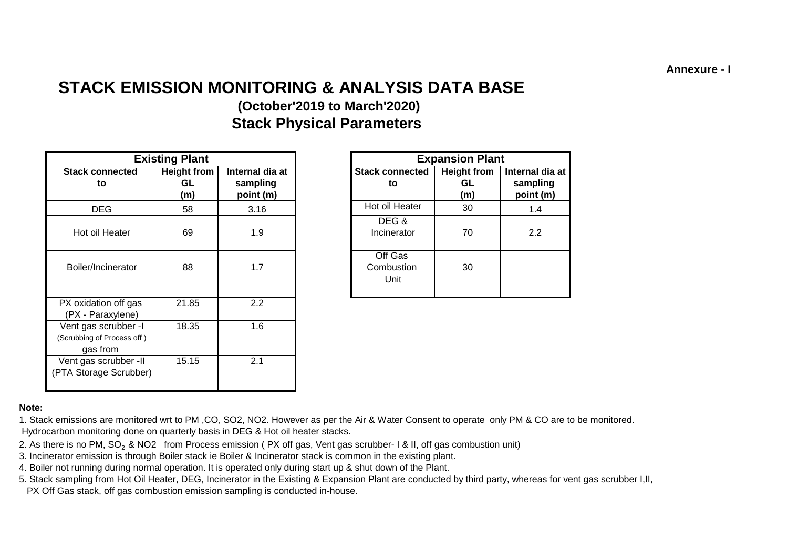**Annexure - I**

# **STACK EMISSION MONITORING & ANALYSIS DATA BASE**

# **(October'2019 to March'2020) Stack Physical Parameters**

|                                                                | <b>Existing Plant</b>           |                                          |                               |  | <b>Expansion Plant</b>          |                 |                       |
|----------------------------------------------------------------|---------------------------------|------------------------------------------|-------------------------------|--|---------------------------------|-----------------|-----------------------|
| <b>Stack connected</b><br>to                                   | <b>Height from</b><br>GL<br>(m) | Internal dia at<br>sampling<br>point (m) | <b>Stack connected</b><br>to  |  | <b>Height from</b><br>GL<br>(m) | Internal dia at | sampling<br>point (m) |
| <b>DEG</b>                                                     | 58                              | 3.16                                     | Hot oil Heater                |  | 30                              |                 | 1.4                   |
| Hot oil Heater                                                 | 69                              | 1.9                                      | DEG &<br>Incinerator          |  | 70                              |                 | 2.2                   |
| Boiler/Incinerator                                             | 88                              | 1.7                                      | Off Gas<br>Combustion<br>Unit |  | 30                              |                 |                       |
| PX oxidation off gas<br>(PX - Paraxylene)                      | 21.85                           | 2.2                                      |                               |  |                                 |                 |                       |
| Vent gas scrubber -I<br>(Scrubbing of Process off)<br>gas from | 18.35                           | 1.6                                      |                               |  |                                 |                 |                       |
| Vent gas scrubber -II<br>(PTA Storage Scrubber)                | 15.15                           | 2.1                                      |                               |  |                                 |                 |                       |

|                | <b>Existing Plant</b>     |                                          |                               | <b>Expansion Plant</b>          |                                          |
|----------------|---------------------------|------------------------------------------|-------------------------------|---------------------------------|------------------------------------------|
| onnected<br>to | Height from<br>GL.<br>(m) | Internal dia at<br>sampling<br>point (m) | <b>Stack connected</b><br>to  | <b>Height from</b><br>GL<br>(m) | Internal dia at<br>sampling<br>point (m) |
| ιEG            | 58                        | 3.16                                     | Hot oil Heater                | 30                              | 1.4                                      |
| I Heater       | 69                        | 1.9                                      | DEG&<br>Incinerator           | 70                              | 2.2                                      |
| ncinerator     | 88                        | 1.7                                      | Off Gas<br>Combustion<br>Unit | 30                              |                                          |

#### **Note:**

1. Stack emissions are monitored wrt to PM ,CO, SO2, NO2. However as per the Air & Water Consent to operate only PM & CO are to be monitored. Hydrocarbon monitoring done on quarterly basis in DEG & Hot oil heater stacks.

- 2. As there is no PM, SO<sub>2</sub> & NO2 from Process emission (PX off gas, Vent gas scrubber- 1 & II, off gas combustion unit)
- 3. Incinerator emission is through Boiler stack ie Boiler & Incinerator stack is common in the existing plant.
- 4. Boiler not running during normal operation. It is operated only during start up & shut down of the Plant.
- PX Off Gas stack, off gas combustion emission sampling is conducted in-house. 5. Stack sampling from Hot Oil Heater, DEG, Incinerator in the Existing & Expansion Plant are conducted by third party, whereas for vent gas scrubber I,II,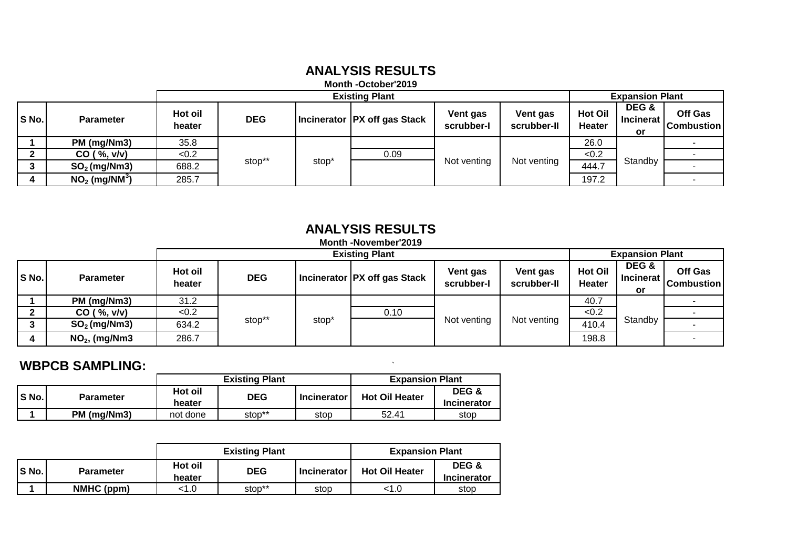### **ANALYSIS RESULTS**

#### **Month -October'2019**

|       |                             |                   | <b>Existing Plant</b> |                   |                                |                        |                         | <b>Expansion Plant</b>          |                                        |                                     |  |  |
|-------|-----------------------------|-------------------|-----------------------|-------------------|--------------------------------|------------------------|-------------------------|---------------------------------|----------------------------------------|-------------------------------------|--|--|
| S No. | <b>Parameter</b>            | Hot oil<br>heater | <b>DEG</b>            |                   | Incinerator   PX off gas Stack | Vent gas<br>scrubber-I | Vent gas<br>scrubber-II | <b>Hot Oil</b><br><b>Heater</b> | DEG &<br><b>Incinerat</b><br><b>or</b> | <b>Off Gas</b><br><b>Combustion</b> |  |  |
|       | PM (mg/Nm3)                 | 35.8              |                       |                   |                                |                        |                         | 26.0                            |                                        |                                     |  |  |
|       | CO ( %, v/v)                | < 0.2             |                       |                   | 0.09                           |                        |                         | < 0.2                           |                                        |                                     |  |  |
| ີ     | $SO2$ (mg/Nm3)              | 688.2             | stop**                | stop <sup>*</sup> |                                | Not venting            | Not venting             | 444.7                           | Standby                                |                                     |  |  |
|       | $NO2$ (mg/NM <sup>3</sup> ) | 285.7             |                       |                   |                                |                        |                         | 197.2                           |                                        |                                     |  |  |

# **ANALYSIS RESULTS**

#### **Month -November'2019**

|       |                  | <b>Existing Plant</b> |            |                   |                                |                        | <b>Expansion Plant</b>  |                          |                                 |                              |
|-------|------------------|-----------------------|------------|-------------------|--------------------------------|------------------------|-------------------------|--------------------------|---------------------------------|------------------------------|
| S No. | <b>Parameter</b> | Hot oil<br>heater     | <b>DEG</b> |                   | Incinerator   PX off gas Stack | Vent gas<br>scrubber-I | Vent gas<br>scrubber-II | <b>Hot Oil</b><br>Heater | DEG &<br><b>Incinerat</b><br>or | Off Gas<br><b>Combustion</b> |
|       | PM (mg/Nm3)      | 31.2                  |            |                   |                                |                        |                         | 40.7                     |                                 |                              |
|       | CO ( %, v/v)     | <0.2                  |            | stop <sup>*</sup> | 0.10                           |                        |                         | < 0.2                    |                                 |                              |
|       | $SO2$ (mg/Nm3)   | 634.2                 | stop**     |                   |                                | Not venting            | Not venting             | 410.4                    | Standby                         |                              |
|       | $NO2$ , (mg/Nm3  | 286.7                 |            |                   |                                |                        |                         | 198.8                    |                                 |                              |

#### **WBPCB SAMPLING:** `

|       |                  | <b>Existing Plant</b> |            |                    | <b>Expansion Plant</b> |             |
|-------|------------------|-----------------------|------------|--------------------|------------------------|-------------|
| S No. | <b>Parameter</b> | Hot oil               | <b>DEG</b> | <b>Incinerator</b> | <b>Hot Oil Heater</b>  |             |
|       |                  | heater                |            |                    |                        | Incinerator |
|       | PM (mg/Nm3)      | not done              | stop**     | stop               | 52.41                  | stop        |

|       |                  |                   | <b>Existing Plant</b><br><b>Expansion Plant</b> |                    |                       |                             |  |
|-------|------------------|-------------------|-------------------------------------------------|--------------------|-----------------------|-----------------------------|--|
| S No. | <b>Parameter</b> | Hot oil<br>heater | <b>DEG</b>                                      | <b>Incinerator</b> | <b>Hot Oil Heater</b> | DEG &<br><b>Incinerator</b> |  |
|       | NMHC (ppm)       | 1.0>              | stop**                                          | stop               | <1.0                  | stop                        |  |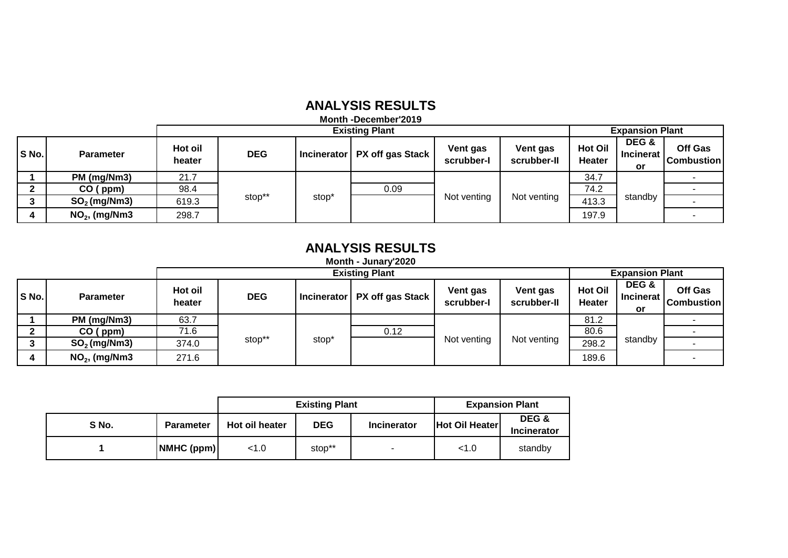#### **ANALYSIS RESULTS**

**Month -December'2019**

|       |                  |                   | <b>Existing Plant</b> |                   |                                |                        |                         |                                 | <b>Expansion Plant</b>          |                              |  |  |
|-------|------------------|-------------------|-----------------------|-------------------|--------------------------------|------------------------|-------------------------|---------------------------------|---------------------------------|------------------------------|--|--|
| S No. | <b>Parameter</b> | Hot oil<br>heater | <b>DEG</b>            |                   | Incinerator   PX off gas Stack | Vent gas<br>scrubber-l | Vent gas<br>scrubber-II | <b>Hot Oil</b><br><b>Heater</b> | DEG &<br><b>Incinerat</b><br>or | Off Gas<br><b>Combustion</b> |  |  |
|       | PM (mg/Nm3)      | 21.7              |                       |                   |                                |                        |                         | 34.7                            |                                 |                              |  |  |
|       | $CO$ (ppm)       | 98.4              |                       |                   | 0.09                           |                        |                         | 74.2                            |                                 |                              |  |  |
|       | $SO2$ (mg/Nm3)   | 619.3             | stop**                | stop <sup>®</sup> |                                | Not venting            | Not venting             | 413.3                           | standby                         |                              |  |  |
| 4     | $NO2$ , (mg/Nm3  | 298.7             |                       |                   |                                |                        |                         | 197.9                           |                                 |                              |  |  |

### **ANALYSIS RESULTS**

**Month - Junary'2020**

|       |                  |                   | <b>Existing Plant</b> |       |                                |                        |                         |                                 | <b>Expansion Plant</b>          |                              |  |  |  |
|-------|------------------|-------------------|-----------------------|-------|--------------------------------|------------------------|-------------------------|---------------------------------|---------------------------------|------------------------------|--|--|--|
| S No. | <b>Parameter</b> | Hot oil<br>heater | <b>DEG</b>            |       | Incinerator   PX off gas Stack | Vent gas<br>scrubber-I | Vent gas<br>scrubber-II | <b>Hot Oil</b><br><b>Heater</b> | DEG &<br><b>Incinerat</b><br>or | Off Gas<br><b>Combustion</b> |  |  |  |
|       | PM (mg/Nm3)      | 63.7              |                       |       |                                |                        |                         | 81.2                            |                                 |                              |  |  |  |
|       | CO (ppm)         | 71.6              |                       |       | 0.12                           |                        |                         | 80.6                            |                                 |                              |  |  |  |
|       | $SO2$ (mg/Nm3)   | 374.0             | stop**                | stop* |                                | Not venting            | Not venting             | 298.2                           | standby                         |                              |  |  |  |
|       | $NO2$ , (mg/Nm3  | 271.6             |                       |       |                                |                        |                         | 189.6                           |                                 |                              |  |  |  |

|       |                  |                              | <b>Existing Plant</b> | <b>Expansion Plant</b> |                |                             |
|-------|------------------|------------------------------|-----------------------|------------------------|----------------|-----------------------------|
| S No. | <b>Parameter</b> | <b>DEG</b><br>Hot oil heater |                       | <b>Incinerator</b>     | Hot Oil Heater | DEG &<br><b>Incinerator</b> |
|       | NMHC (ppm)       | < 1.0                        | stop**                | $\sim$                 | < 1.0          | standby                     |